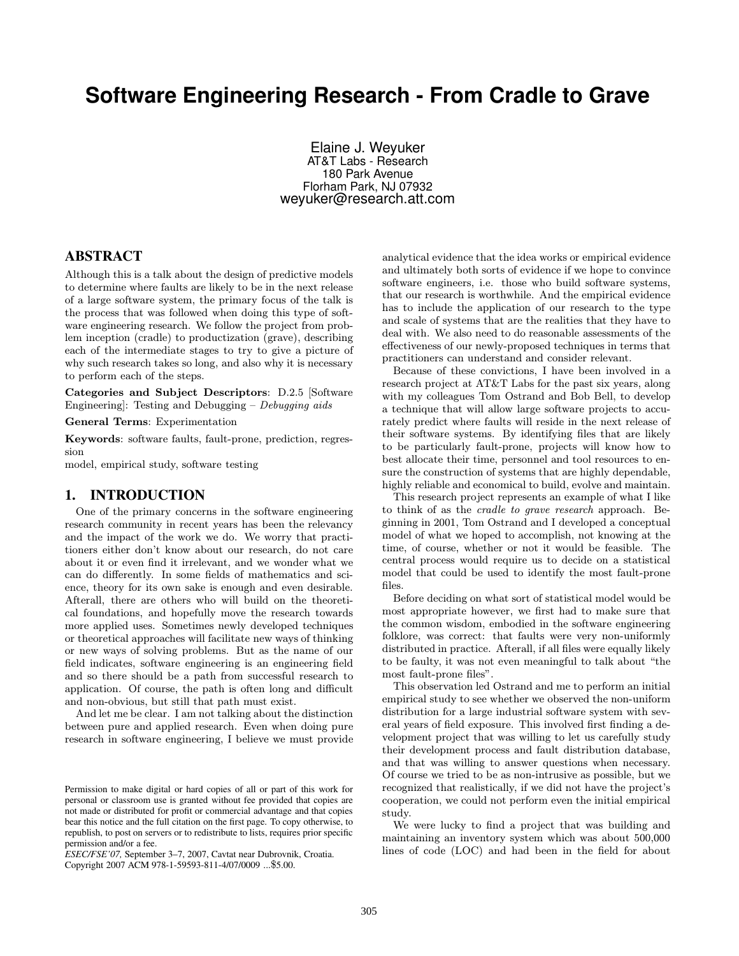# **Software Engineering Research - From Cradle to Grave**

Elaine J. Weyuker AT&T Labs - Research 180 Park Avenue Florham Park, NJ 07932 weyuker@research.att.com

# **ABSTRACT**

Although this is a talk about the design of predictive models to determine where faults are likely to be in the next release of a large software system, the primary focus of the talk is the process that was followed when doing this type of software engineering research. We follow the project from problem inception (cradle) to productization (grave), describing each of the intermediate stages to try to give a picture of why such research takes so long, and also why it is necessary to perform each of the steps.

Categories and Subject Descriptors: D.2.5 [Software Engineering]: Testing and Debugging –  $Debugging\,\,aids$ 

General Terms: Experimentation

Keywords: software faults, fault-prone, prediction, regression

model, empirical study, software testing

#### **1. INTRODUCTION**

One of the primary concerns in the software engineering research community in recent years has been the relevancy and the impact of the work we do. We worry that practitioners either don't know about our research, do not care about it or even find it irrelevant, and we wonder what we can do differently. In some fields of mathematics and science, theory for its own sake is enough and even desirable. Afterall, there are others who will build on the theoretical foundations, and hopefully move the research towards more applied uses. Sometimes newly developed techniques or theoretical approaches will facilitate new ways of thinking or new ways of solving problems. But as the name of our field indicates, software engineering is an engineering field and so there should be a path from successful research to application. Of course, the path is often long and difficult and non-obvious, but still that path must exist.

And let me be clear. I am not talking about the distinction between pure and applied research. Even when doing pure research in software engineering, I believe we must provide

*ESEC/FSE'07,* September 3–7, 2007, Cavtat near Dubrovnik, Croatia. Copyright 2007 ACM 978-1-59593-811-4/07/0009 ...\$5.00.

analytical evidence that the idea works or empirical evidence and ultimately both sorts of evidence if we hope to convince software engineers, i.e. those who build software systems, that our research is worthwhile. And the empirical evidence has to include the application of our research to the type and scale of systems that are the realities that they have to deal with. We also need to do reasonable assessments of the effectiveness of our newly-proposed techniques in terms that practitioners can understand and consider relevant.

Because of these convictions, I have been involved in a research project at AT&T Labs for the past six years, along with my colleagues Tom Ostrand and Bob Bell, to develop a technique that will allow large software projects to accurately predict where faults will reside in the next release of their software systems. By identifying files that are likely to be particularly fault-prone, projects will know how to best allocate their time, personnel and tool resources to ensure the construction of systems that are highly dependable, highly reliable and economical to build, evolve and maintain.

This research project represents an example of what I like to think of as the cradle to grave research approach. Beginning in 2001, Tom Ostrand and I developed a conceptual model of what we hoped to accomplish, not knowing at the time, of course, whether or not it would be feasible. The central process would require us to decide on a statistical model that could be used to identify the most fault-prone files.

Before deciding on what sort of statistical model would be most appropriate however, we first had to make sure that the common wisdom, embodied in the software engineering folklore, was correct: that faults were very non-uniformly distributed in practice. Afterall, if all files were equally likely to be faulty, it was not even meaningful to talk about "the most fault-prone files".

This observation led Ostrand and me to perform an initial empirical study to see whether we observed the non-uniform distribution for a large industrial software system with several years of field exposure. This involved first finding a development project that was willing to let us carefully study their development process and fault distribution database, and that was willing to answer questions when necessary. Of course we tried to be as non-intrusive as possible, but we recognized that realistically, if we did not have the project's cooperation, we could not perform even the initial empirical study.

We were lucky to find a project that was building and maintaining an inventory system which was about 500,000 lines of code (LOC) and had been in the field for about

Permission to make digital or hard copies of all or part of this work for personal or classroom use is granted without fee provided that copies are not made or distributed for profit or commercial advantage and that copies bear this notice and the full citation on the first page. To copy otherwise, to republish, to post on servers or to redistribute to lists, requires prior specific permission and/or a fee.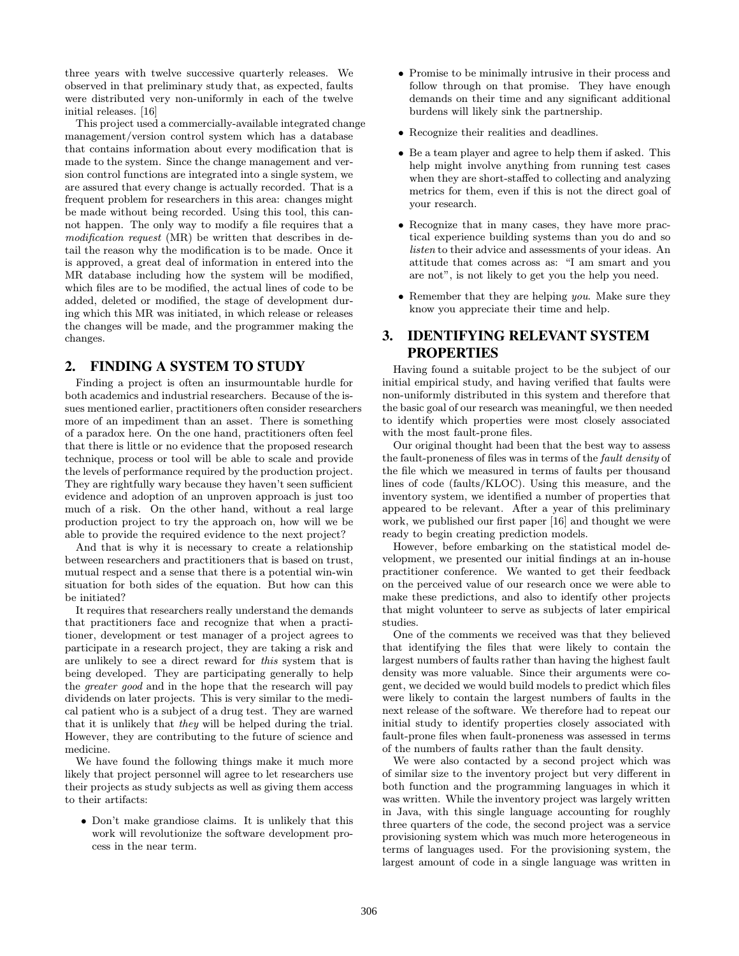three years with twelve successive quarterly releases. We observed in that preliminary study that, as expected, faults were distributed very non-uniformly in each of the twelve initial releases. [16]

This project used a commercially-available integrated change management/version control system which has a database that contains information about every modification that is made to the system. Since the change management and version control functions are integrated into a single system, we are assured that every change is actually recorded. That is a frequent problem for researchers in this area: changes might be made without being recorded. Using this tool, this cannot happen. The only way to modify a file requires that a modification request (MR) be written that describes in detail the reason why the modification is to be made. Once it is approved, a great deal of information in entered into the MR database including how the system will be modified, which files are to be modified, the actual lines of code to be added, deleted or modified, the stage of development during which this MR was initiated, in which release or releases the changes will be made, and the programmer making the changes.

### **2. FINDING A SYSTEM TO STUDY**

Finding a project is often an insurmountable hurdle for both academics and industrial researchers. Because of the issues mentioned earlier, practitioners often consider researchers more of an impediment than an asset. There is something of a paradox here. On the one hand, practitioners often feel that there is little or no evidence that the proposed research technique, process or tool will be able to scale and provide the levels of performance required by the production project. They are rightfully wary because they haven't seen sufficient evidence and adoption of an unproven approach is just too much of a risk. On the other hand, without a real large production project to try the approach on, how will we be able to provide the required evidence to the next project?

And that is why it is necessary to create a relationship between researchers and practitioners that is based on trust, mutual respect and a sense that there is a potential win-win situation for both sides of the equation. But how can this be initiated?

It requires that researchers really understand the demands that practitioners face and recognize that when a practitioner, development or test manager of a project agrees to participate in a research project, they are taking a risk and are unlikely to see a direct reward for this system that is being developed. They are participating generally to help the greater good and in the hope that the research will pay dividends on later projects. This is very similar to the medical patient who is a subject of a drug test. They are warned that it is unlikely that they will be helped during the trial. However, they are contributing to the future of science and medicine.

We have found the following things make it much more likely that project personnel will agree to let researchers use their projects as study subjects as well as giving them access to their artifacts:

• Don't make grandiose claims. It is unlikely that this work will revolutionize the software development process in the near term.

- Promise to be minimally intrusive in their process and follow through on that promise. They have enough demands on their time and any significant additional burdens will likely sink the partnership.
- Recognize their realities and deadlines.
- Be a team player and agree to help them if asked. This help might involve anything from running test cases when they are short-staffed to collecting and analyzing metrics for them, even if this is not the direct goal of your research.
- Recognize that in many cases, they have more practical experience building systems than you do and so listen to their advice and assessments of your ideas. An attitude that comes across as: "I am smart and you are not", is not likely to get you the help you need.
- Remember that they are helping you. Make sure they know you appreciate their time and help.

## **3. IDENTIFYING RELEVANT SYSTEM PROPERTIES**

Having found a suitable project to be the subject of our initial empirical study, and having verified that faults were non-uniformly distributed in this system and therefore that the basic goal of our research was meaningful, we then needed to identify which properties were most closely associated with the most fault-prone files.

Our original thought had been that the best way to assess the fault-proneness of files was in terms of the fault density of the file which we measured in terms of faults per thousand lines of code (faults/KLOC). Using this measure, and the inventory system, we identified a number of properties that appeared to be relevant. After a year of this preliminary work, we published our first paper [16] and thought we were ready to begin creating prediction models.

However, before embarking on the statistical model development, we presented our initial findings at an in-house practitioner conference. We wanted to get their feedback on the perceived value of our research once we were able to make these predictions, and also to identify other projects that might volunteer to serve as subjects of later empirical studies.

One of the comments we received was that they believed that identifying the files that were likely to contain the largest numbers of faults rather than having the highest fault density was more valuable. Since their arguments were cogent, we decided we would build models to predict which files were likely to contain the largest numbers of faults in the next release of the software. We therefore had to repeat our initial study to identify properties closely associated with fault-prone files when fault-proneness was assessed in terms of the numbers of faults rather than the fault density.

We were also contacted by a second project which was of similar size to the inventory project but very different in both function and the programming languages in which it was written. While the inventory project was largely written in Java, with this single language accounting for roughly three quarters of the code, the second project was a service provisioning system which was much more heterogeneous in terms of languages used. For the provisioning system, the largest amount of code in a single language was written in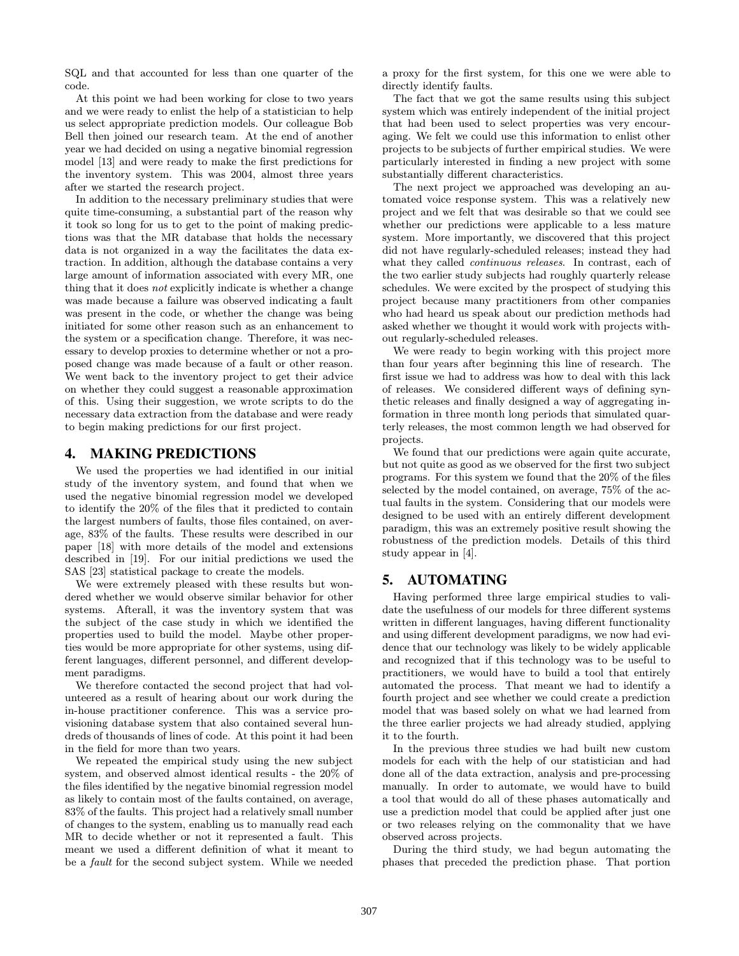SQL and that accounted for less than one quarter of the code.

At this point we had been working for close to two years and we were ready to enlist the help of a statistician to help us select appropriate prediction models. Our colleague Bob Bell then joined our research team. At the end of another year we had decided on using a negative binomial regression model [13] and were ready to make the first predictions for the inventory system. This was 2004, almost three years after we started the research project.

In addition to the necessary preliminary studies that were quite time-consuming, a substantial part of the reason why it took so long for us to get to the point of making predictions was that the MR database that holds the necessary data is not organized in a way the facilitates the data extraction. In addition, although the database contains a very large amount of information associated with every MR, one thing that it does not explicitly indicate is whether a change was made because a failure was observed indicating a fault was present in the code, or whether the change was being initiated for some other reason such as an enhancement to the system or a specification change. Therefore, it was necessary to develop proxies to determine whether or not a proposed change was made because of a fault or other reason. We went back to the inventory project to get their advice on whether they could suggest a reasonable approximation of this. Using their suggestion, we wrote scripts to do the necessary data extraction from the database and were ready to begin making predictions for our first project.

### **4. MAKING PREDICTIONS**

We used the properties we had identified in our initial study of the inventory system, and found that when we used the negative binomial regression model we developed to identify the 20% of the files that it predicted to contain the largest numbers of faults, those files contained, on average, 83% of the faults. These results were described in our paper [18] with more details of the model and extensions described in [19]. For our initial predictions we used the SAS [23] statistical package to create the models.

We were extremely pleased with these results but wondered whether we would observe similar behavior for other systems. Afterall, it was the inventory system that was the subject of the case study in which we identified the properties used to build the model. Maybe other properties would be more appropriate for other systems, using different languages, different personnel, and different development paradigms.

We therefore contacted the second project that had volunteered as a result of hearing about our work during the in-house practitioner conference. This was a service provisioning database system that also contained several hundreds of thousands of lines of code. At this point it had been in the field for more than two years.

We repeated the empirical study using the new subject system, and observed almost identical results - the 20% of the files identified by the negative binomial regression model as likely to contain most of the faults contained, on average, 83% of the faults. This project had a relatively small number of changes to the system, enabling us to manually read each MR to decide whether or not it represented a fault. This meant we used a different definition of what it meant to be a fault for the second subject system. While we needed a proxy for the first system, for this one we were able to directly identify faults.

The fact that we got the same results using this subject system which was entirely independent of the initial project that had been used to select properties was very encouraging. We felt we could use this information to enlist other projects to be subjects of further empirical studies. We were particularly interested in finding a new project with some substantially different characteristics.

The next project we approached was developing an automated voice response system. This was a relatively new project and we felt that was desirable so that we could see whether our predictions were applicable to a less mature system. More importantly, we discovered that this project did not have regularly-scheduled releases; instead they had what they called *continuous releases*. In contrast, each of the two earlier study subjects had roughly quarterly release schedules. We were excited by the prospect of studying this project because many practitioners from other companies who had heard us speak about our prediction methods had asked whether we thought it would work with projects without regularly-scheduled releases.

We were ready to begin working with this project more than four years after beginning this line of research. The first issue we had to address was how to deal with this lack of releases. We considered different ways of defining synthetic releases and finally designed a way of aggregating information in three month long periods that simulated quarterly releases, the most common length we had observed for projects.

We found that our predictions were again quite accurate, but not quite as good as we observed for the first two subject programs. For this system we found that the 20% of the files selected by the model contained, on average, 75% of the actual faults in the system. Considering that our models were designed to be used with an entirely different development paradigm, this was an extremely positive result showing the robustness of the prediction models. Details of this third study appear in [4].

## **5. AUTOMATING**

Having performed three large empirical studies to validate the usefulness of our models for three different systems written in different languages, having different functionality and using different development paradigms, we now had evidence that our technology was likely to be widely applicable and recognized that if this technology was to be useful to practitioners, we would have to build a tool that entirely automated the process. That meant we had to identify a fourth project and see whether we could create a prediction model that was based solely on what we had learned from the three earlier projects we had already studied, applying it to the fourth.

In the previous three studies we had built new custom models for each with the help of our statistician and had done all of the data extraction, analysis and pre-processing manually. In order to automate, we would have to build a tool that would do all of these phases automatically and use a prediction model that could be applied after just one or two releases relying on the commonality that we have observed across projects.

During the third study, we had begun automating the phases that preceded the prediction phase. That portion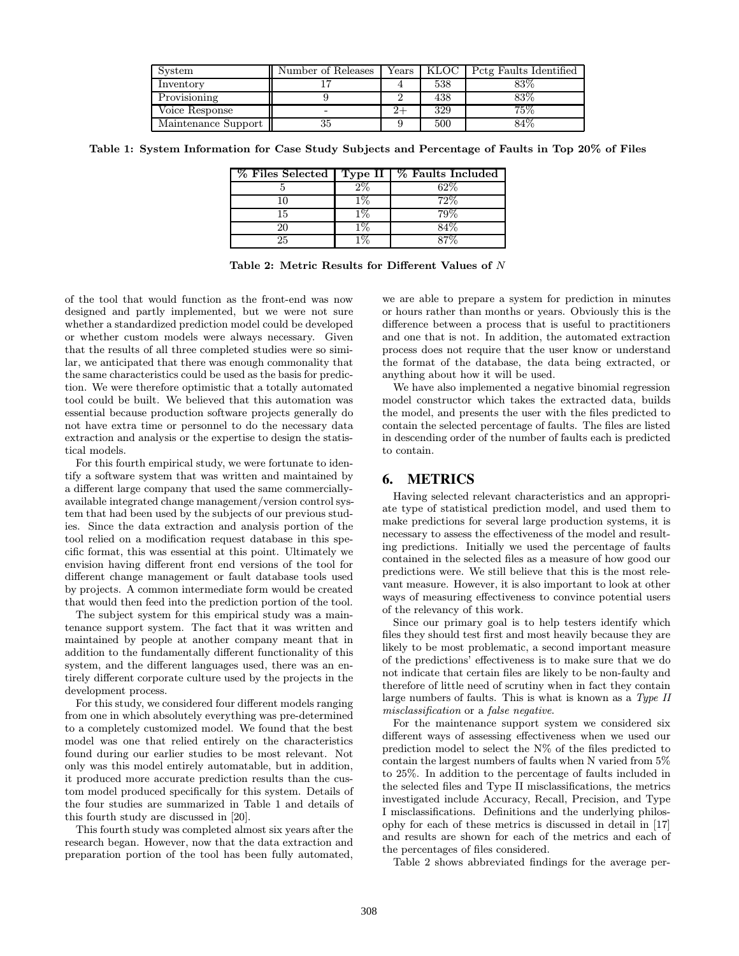| $S$ vstem           | Number of Releases | $\rm Years$ | KLOC | Pctg Faults Identified |
|---------------------|--------------------|-------------|------|------------------------|
| Inventory           |                    |             | 538  | 83\%                   |
| Provisioning        |                    |             | 438  | 83\%                   |
| Voice Response      | -                  |             | 329  | 75%                    |
| Maintenance Support | 35                 |             | 500  | 84\%                   |

Table 1: System Information for Case Study Subjects and Percentage of Faults in Top 20% of Files

| % Files Selected |       | Type II   % Faults Included |
|------------------|-------|-----------------------------|
|                  | $2\%$ | $62\%$                      |
| ı∩               |       | 72\%                        |
| 15               |       | 79%                         |
|                  |       | 34%                         |
| つら               |       |                             |

Table 2: Metric Results for Different Values of N

of the tool that would function as the front-end was now designed and partly implemented, but we were not sure whether a standardized prediction model could be developed or whether custom models were always necessary. Given that the results of all three completed studies were so similar, we anticipated that there was enough commonality that the same characteristics could be used as the basis for prediction. We were therefore optimistic that a totally automated tool could be built. We believed that this automation was essential because production software projects generally do not have extra time or personnel to do the necessary data extraction and analysis or the expertise to design the statistical models.

For this fourth empirical study, we were fortunate to identify a software system that was written and maintained by a different large company that used the same commerciallyavailable integrated change management/version control system that had been used by the subjects of our previous studies. Since the data extraction and analysis portion of the tool relied on a modification request database in this specific format, this was essential at this point. Ultimately we envision having different front end versions of the tool for different change management or fault database tools used by projects. A common intermediate form would be created that would then feed into the prediction portion of the tool.

The subject system for this empirical study was a maintenance support system. The fact that it was written and maintained by people at another company meant that in addition to the fundamentally different functionality of this system, and the different languages used, there was an entirely different corporate culture used by the projects in the development process.

For this study, we considered four different models ranging from one in which absolutely everything was pre-determined to a completely customized model. We found that the best model was one that relied entirely on the characteristics found during our earlier studies to be most relevant. Not only was this model entirely automatable, but in addition, it produced more accurate prediction results than the custom model produced specifically for this system. Details of the four studies are summarized in Table 1 and details of this fourth study are discussed in [20].

This fourth study was completed almost six years after the research began. However, now that the data extraction and preparation portion of the tool has been fully automated,

we are able to prepare a system for prediction in minutes or hours rather than months or years. Obviously this is the difference between a process that is useful to practitioners and one that is not. In addition, the automated extraction process does not require that the user know or understand the format of the database, the data being extracted, or anything about how it will be used.

We have also implemented a negative binomial regression model constructor which takes the extracted data, builds the model, and presents the user with the files predicted to contain the selected percentage of faults. The files are listed in descending order of the number of faults each is predicted to contain.

#### **6. METRICS**

Having selected relevant characteristics and an appropriate type of statistical prediction model, and used them to make predictions for several large production systems, it is necessary to assess the effectiveness of the model and resulting predictions. Initially we used the percentage of faults contained in the selected files as a measure of how good our predictions were. We still believe that this is the most relevant measure. However, it is also important to look at other ways of measuring effectiveness to convince potential users of the relevancy of this work.

Since our primary goal is to help testers identify which files they should test first and most heavily because they are likely to be most problematic, a second important measure of the predictions' effectiveness is to make sure that we do not indicate that certain files are likely to be non-faulty and therefore of little need of scrutiny when in fact they contain large numbers of faults. This is what is known as a Type II misclassification or a false negative.

For the maintenance support system we considered six different ways of assessing effectiveness when we used our prediction model to select the N% of the files predicted to contain the largest numbers of faults when N varied from 5% to 25%. In addition to the percentage of faults included in the selected files and Type II misclassifications, the metrics investigated include Accuracy, Recall, Precision, and Type I misclassifications. Definitions and the underlying philosophy for each of these metrics is discussed in detail in [17] and results are shown for each of the metrics and each of the percentages of files considered.

Table 2 shows abbreviated findings for the average per-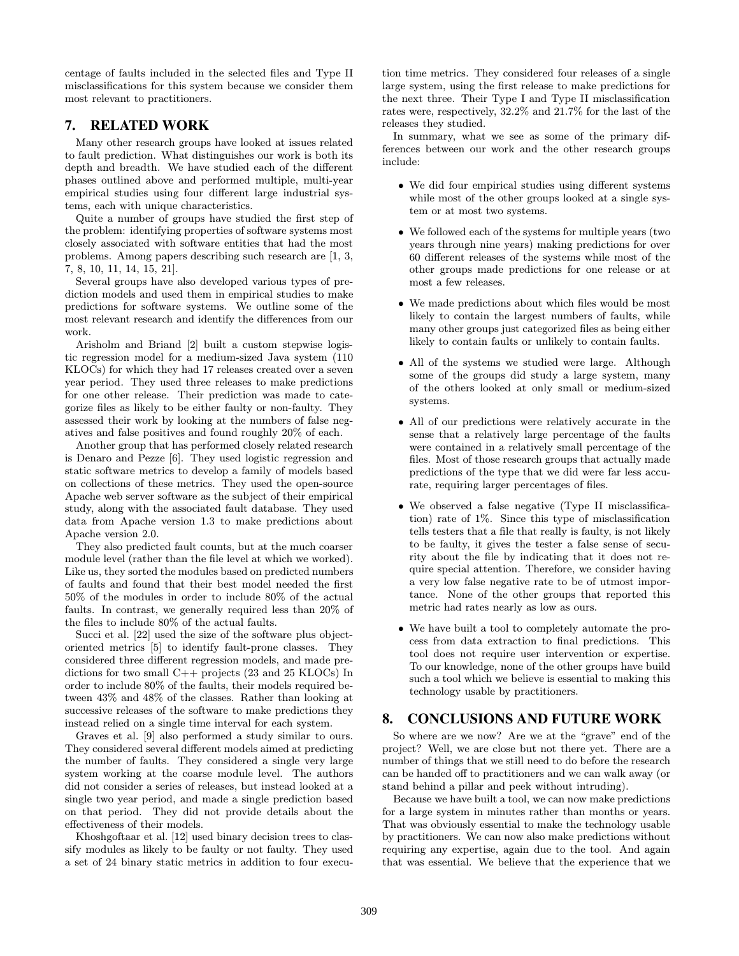centage of faults included in the selected files and Type II misclassifications for this system because we consider them most relevant to practitioners.

## **7. RELATED WORK**

Many other research groups have looked at issues related to fault prediction. What distinguishes our work is both its depth and breadth. We have studied each of the different phases outlined above and performed multiple, multi-year empirical studies using four different large industrial systems, each with unique characteristics.

Quite a number of groups have studied the first step of the problem: identifying properties of software systems most closely associated with software entities that had the most problems. Among papers describing such research are [1, 3, 7, 8, 10, 11, 14, 15, 21].

Several groups have also developed various types of prediction models and used them in empirical studies to make predictions for software systems. We outline some of the most relevant research and identify the differences from our work.

Arisholm and Briand [2] built a custom stepwise logistic regression model for a medium-sized Java system (110 KLOCs) for which they had 17 releases created over a seven year period. They used three releases to make predictions for one other release. Their prediction was made to categorize files as likely to be either faulty or non-faulty. They assessed their work by looking at the numbers of false negatives and false positives and found roughly 20% of each.

Another group that has performed closely related research is Denaro and Pezze [6]. They used logistic regression and static software metrics to develop a family of models based on collections of these metrics. They used the open-source Apache web server software as the subject of their empirical study, along with the associated fault database. They used data from Apache version 1.3 to make predictions about Apache version 2.0.

They also predicted fault counts, but at the much coarser module level (rather than the file level at which we worked). Like us, they sorted the modules based on predicted numbers of faults and found that their best model needed the first 50% of the modules in order to include 80% of the actual faults. In contrast, we generally required less than 20% of the files to include 80% of the actual faults.

Succi et al. [22] used the size of the software plus objectoriented metrics [5] to identify fault-prone classes. They considered three different regression models, and made predictions for two small C++ projects (23 and 25 KLOCs) In order to include 80% of the faults, their models required between 43% and 48% of the classes. Rather than looking at successive releases of the software to make predictions they instead relied on a single time interval for each system.

Graves et al. [9] also performed a study similar to ours. They considered several different models aimed at predicting the number of faults. They considered a single very large system working at the coarse module level. The authors did not consider a series of releases, but instead looked at a single two year period, and made a single prediction based on that period. They did not provide details about the effectiveness of their models.

Khoshgoftaar et al. [12] used binary decision trees to classify modules as likely to be faulty or not faulty. They used a set of 24 binary static metrics in addition to four execution time metrics. They considered four releases of a single large system, using the first release to make predictions for the next three. Their Type I and Type II misclassification rates were, respectively, 32.2% and 21.7% for the last of the releases they studied.

In summary, what we see as some of the primary differences between our work and the other research groups include:

- We did four empirical studies using different systems while most of the other groups looked at a single system or at most two systems.
- We followed each of the systems for multiple years (two years through nine years) making predictions for over 60 different releases of the systems while most of the other groups made predictions for one release or at most a few releases.
- We made predictions about which files would be most likely to contain the largest numbers of faults, while many other groups just categorized files as being either likely to contain faults or unlikely to contain faults.
- All of the systems we studied were large. Although some of the groups did study a large system, many of the others looked at only small or medium-sized systems.
- All of our predictions were relatively accurate in the sense that a relatively large percentage of the faults were contained in a relatively small percentage of the files. Most of those research groups that actually made predictions of the type that we did were far less accurate, requiring larger percentages of files.
- We observed a false negative (Type II misclassification) rate of 1%. Since this type of misclassification tells testers that a file that really is faulty, is not likely to be faulty, it gives the tester a false sense of security about the file by indicating that it does not require special attention. Therefore, we consider having a very low false negative rate to be of utmost importance. None of the other groups that reported this metric had rates nearly as low as ours.
- We have built a tool to completely automate the process from data extraction to final predictions. This tool does not require user intervention or expertise. To our knowledge, none of the other groups have build such a tool which we believe is essential to making this technology usable by practitioners.

## **8. CONCLUSIONS AND FUTURE WORK**

So where are we now? Are we at the "grave" end of the project? Well, we are close but not there yet. There are a number of things that we still need to do before the research can be handed off to practitioners and we can walk away (or stand behind a pillar and peek without intruding).

Because we have built a tool, we can now make predictions for a large system in minutes rather than months or years. That was obviously essential to make the technology usable by practitioners. We can now also make predictions without requiring any expertise, again due to the tool. And again that was essential. We believe that the experience that we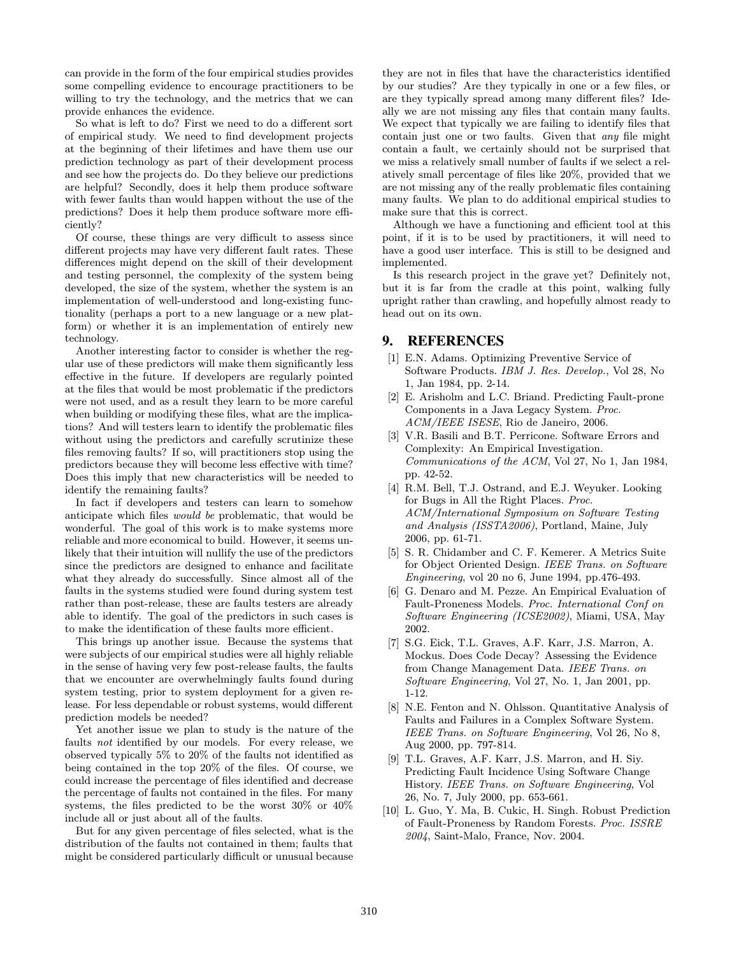can provide in the form of the four empirical studies provides some compelling evidence to encourage practitioners to be willing to try the technology, and the metrics that we can provide enhances the evidence.

So what is left to do? First we need to do a different sort of empirical study. We need to find development projects at the beginning of their lifetimes and have them use our prediction technology as part of their development process and see how the projects do. Do they believe our predictions are helpful? Secondly, does it help them produce software with fewer faults than would happen without the use of the predictions? Does it help them produce software more efficiently?

Of course, these things are very difficult to assess since different projects may have very different fault rates. These differences might depend on the skill of their development and testing personnel, the complexity of the system being developed, the size of the system, whether the system is an implementation of well-understood and long-existing functionality (perhaps a port to a new language or a new platform) or whether it is an implementation of entirely new technology.

Another interesting factor to consider is whether the regular use of these predictors will make them significantly less effective in the future. If developers are regularly pointed at the files that would be most problematic if the predictors were not used, and as a result they learn to be more careful when building or modifying these files, what are the implications? And will testers learn to identify the problematic files without using the predictors and carefully scrutinize these files removing faults? If so, will practitioners stop using the predictors because they will become less effective with time? Does this imply that new characteristics will be needed to identify the remaining faults?

In fact if developers and testers can learn to somehow anticipate which files would be problematic, that would be wonderful. The goal of this work is to make systems more reliable and more economical to build. However, it seems unlikely that their intuition will nullify the use of the predictors since the predictors are designed to enhance and facilitate what they already do successfully. Since almost all of the faults in the systems studied were found during system test rather than post-release, these are faults testers are already able to identify. The goal of the predictors in such cases is to make the identification of these faults more efficient.

This brings up another issue. Because the systems that were subjects of our empirical studies were all highly reliable in the sense of having very few post-release faults, the faults that we encounter are overwhelmingly faults found during system testing, prior to system deployment for a given release. For less dependable or robust systems, would different prediction models be needed?

Yet another issue we plan to study is the nature of the faults not identified by our models. For every release, we observed typically 5% to 20% of the faults not identified as being contained in the top 20% of the files. Of course, we could increase the percentage of files identified and decrease the percentage of faults not contained in the files. For many systems, the files predicted to be the worst 30% or 40% include all or just about all of the faults.

But for any given percentage of files selected, what is the distribution of the faults not contained in them; faults that might be considered particularly difficult or unusual because they are not in files that have the characteristics identified by our studies? Are they typically in one or a few files, or are they typically spread among many different files? Ideally we are not missing any files that contain many faults. We expect that typically we are failing to identify files that contain just one or two faults. Given that any file might contain a fault, we certainly should not be surprised that we miss a relatively small number of faults if we select a relatively small percentage of files like 20%, provided that we are not missing any of the really problematic files containing many faults. We plan to do additional empirical studies to make sure that this is correct.

Although we have a functioning and efficient tool at this point, if it is to be used by practitioners, it will need to have a good user interface. This is still to be designed and implemented.

Is this research project in the grave yet? Definitely not, but it is far from the cradle at this point, walking fully upright rather than crawling, and hopefully almost ready to head out on its own.

#### **9. REFERENCES**

- [1] E.N. Adams. Optimizing Preventive Service of Software Products. IBM J. Res. Develop., Vol 28, No 1, Jan 1984, pp. 2-14.
- [2] E. Arisholm and L.C. Briand. Predicting Fault-prone Components in a Java Legacy System. Proc. ACM/IEEE ISESE, Rio de Janeiro, 2006.
- [3] V.R. Basili and B.T. Perricone. Software Errors and Complexity: An Empirical Investigation. Communications of the ACM, Vol 27, No 1, Jan 1984, pp. 42-52.
- [4] R.M. Bell, T.J. Ostrand, and E.J. Weyuker. Looking for Bugs in All the Right Places. Proc. ACM/International Symposium on Software Testing and Analysis (ISSTA2006), Portland, Maine, July 2006, pp. 61-71.
- [5] S. R. Chidamber and C. F. Kemerer. A Metrics Suite for Object Oriented Design. IEEE Trans. on Software Engineering, vol 20 no 6, June 1994, pp.476-493.
- [6] G. Denaro and M. Pezze. An Empirical Evaluation of Fault-Proneness Models. Proc. International Conf on Software Engineering (ICSE2002), Miami, USA, May 2002.
- [7] S.G. Eick, T.L. Graves, A.F. Karr, J.S. Marron, A. Mockus. Does Code Decay? Assessing the Evidence from Change Management Data. IEEE Trans. on Software Engineering, Vol 27, No. 1, Jan 2001, pp. 1-12.
- [8] N.E. Fenton and N. Ohlsson. Quantitative Analysis of Faults and Failures in a Complex Software System. IEEE Trans. on Software Engineering, Vol 26, No 8, Aug 2000, pp. 797-814.
- [9] T.L. Graves, A.F. Karr, J.S. Marron, and H. Siy. Predicting Fault Incidence Using Software Change History. IEEE Trans. on Software Engineering, Vol 26, No. 7, July 2000, pp. 653-661.
- [10] L. Guo, Y. Ma, B. Cukic, H. Singh. Robust Prediction of Fault-Proneness by Random Forests. Proc. ISSRE 2004, Saint-Malo, France, Nov. 2004.